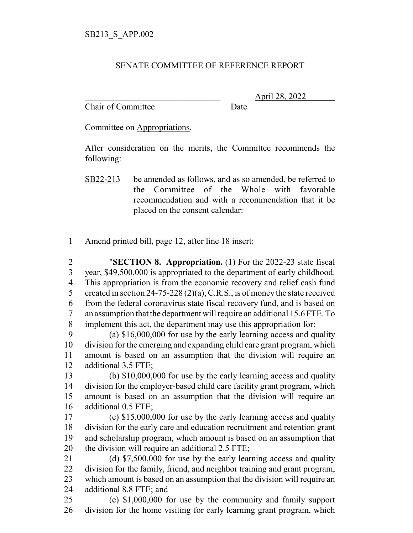## SENATE COMMITTEE OF REFERENCE REPORT

Chair of Committee Date

\_\_\_\_\_\_\_\_\_\_\_\_\_\_\_\_\_\_\_\_\_\_\_\_\_\_\_\_\_\_\_ April 28, 2022

Committee on Appropriations.

After consideration on the merits, the Committee recommends the following:

Amend printed bill, page 12, after line 18 insert:

 "**SECTION 8. Appropriation.** (1) For the 2022-23 state fiscal year, \$49,500,000 is appropriated to the department of early childhood. This appropriation is from the economic recovery and relief cash fund 5 created in section 24-75-228 (2)(a), C.R.S., is of money the state received from the federal coronavirus state fiscal recovery fund, and is based on an assumption that the department will require an additional 15.6 FTE. To implement this act, the department may use this appropriation for:

 (a) \$16,000,000 for use by the early learning access and quality division for the emerging and expanding child care grant program, which amount is based on an assumption that the division will require an additional 3.5 FTE;

 (b) \$10,000,000 for use by the early learning access and quality division for the employer-based child care facility grant program, which amount is based on an assumption that the division will require an additional 0.5 FTE;

 (c) \$15,000,000 for use by the early learning access and quality division for the early care and education recruitment and retention grant and scholarship program, which amount is based on an assumption that 20 the division will require an additional 2.5 FTE;

 (d) \$7,500,000 for use by the early learning access and quality division for the family, friend, and neighbor training and grant program, which amount is based on an assumption that the division will require an additional 8.8 FTE; and

 (e) \$1,000,000 for use by the community and family support division for the home visiting for early learning grant program, which

SB22-213 be amended as follows, and as so amended, be referred to the Committee of the Whole with favorable recommendation and with a recommendation that it be placed on the consent calendar: